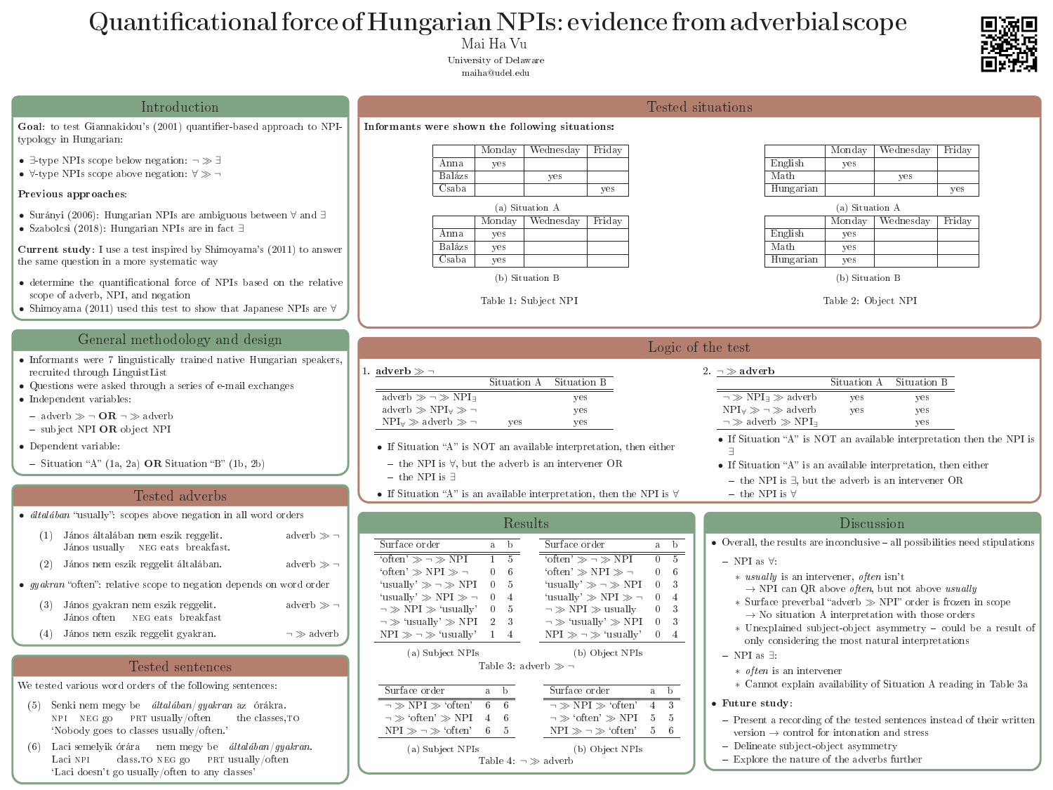Mai Ha Vu University of Delaware maiha@udel.edu

Goal: to test Giannakidou's (2001) quantifier-based app typology in Hungarian:

- ∃-type NPIs scope below negation: ¬ ∃
- $\forall$ -type NPIs scope above negation:  $\forall \gg \neg$

# Quantificational force of Hungarian NPIs: evidence from adverbial scope

### Introduction

- Surányi (2006): Hungarian NPIs are ambiguous betwee
- Szabolcsi (2018): Hungarian NPIs are in fact ∃

Current study: I use a test inspired by Shimoyama's (2011) the same question in a more systematic way

- $\bullet$  determine the quantificational force of NPIs based o scope of adverb, NPI, and negation
- Shimoyama (2011) used this test to show that Japanes

### Previous approaches:

### General methodology and design

- $\bullet$  Informants were 7 linguistically trained native Hungarian speakers, the matrix speakers, we have speakers. recruited through LinguistList
- $\bullet\,$  Questions were asked through a series of e-mail exchanges
- Independent variables:
	- $-$  adverb  $\gg \neg$  OR  $\neg \gg$  adverb - subject NPI OR object NPI
- Dependent variable:
- $-$  Situation "A" (1a, 2a) **OR** Situation "B" (1b, 2b)

### Tested adverbs

- *általában* "usually": scopes above negation in all word
	- (1) János általában nem eszik reggelit. János usually NEG eats breakfast.
	- $(2)$  János nem eszik reggelit általában.
- $gyakran$  "often": relative scope to negation depends on
	- (3) János gyakran nem eszik reggelit. János often NEG eats breakfast
	- $(4)$  János nem eszik reggelit gyakran.

### Tested sentences

We tested various word orders of the following sentences:

- (5) Senki nem megy be általában/gyakran az órákra. NPI NEG go PRT usually/often the classes, TO `Nobody goes to classes usually/often.'
- (6) Laci semelyik órára nem megy be általában/gyakran. Laci NPI class. TO NEG go PRT usually/often `Laci doesn't go usually/often to any classes'

| proach to NPI-              | Informants were shown the following situations:                                  |                                                                                              |                                   |                        |                                                                                                                                     |                     |                   |        |
|-----------------------------|----------------------------------------------------------------------------------|----------------------------------------------------------------------------------------------|-----------------------------------|------------------------|-------------------------------------------------------------------------------------------------------------------------------------|---------------------|-------------------|--------|
|                             | Monday                                                                           | Friday<br>Wednesday                                                                          |                                   |                        |                                                                                                                                     | Monday              | Wednesday         | Friday |
|                             | Anna<br>yes                                                                      |                                                                                              |                                   |                        | English                                                                                                                             | yes                 |                   |        |
|                             | Balázs                                                                           | <b>Ves</b>                                                                                   |                                   |                        | Math                                                                                                                                |                     | yes               |        |
|                             | $\rm Csaba$                                                                      | <b>ves</b>                                                                                   |                                   |                        | Hungarian                                                                                                                           |                     |                   | yes    |
| een $\forall$ and $\exists$ |                                                                                  | (a) Situation A                                                                              |                                   |                        |                                                                                                                                     | (a) Situation A     |                   |        |
|                             | Monday                                                                           | Friday<br>Wednesday                                                                          |                                   |                        |                                                                                                                                     | Monday              | Wednesday         | Friday |
|                             | Anna<br>yes<br>Balázs                                                            |                                                                                              |                                   |                        | English<br>Math                                                                                                                     | yes                 |                   |        |
| $2011)$ to answer           | yes<br>Csaba<br>yes                                                              |                                                                                              |                                   |                        | Hungarian                                                                                                                           | yes<br>yes          |                   |        |
|                             |                                                                                  |                                                                                              |                                   |                        |                                                                                                                                     | (b) Situation B     |                   |        |
| on the relative             |                                                                                  | (b) Situation B<br>Table 1: Subject NPI                                                      |                                   |                        |                                                                                                                                     | Table 2: Object NPI |                   |        |
| se NPIs are $\forall$       |                                                                                  |                                                                                              |                                   |                        |                                                                                                                                     |                     |                   |        |
|                             |                                                                                  |                                                                                              |                                   | Logic of the test      |                                                                                                                                     |                     |                   |        |
| arian speakers,             |                                                                                  |                                                                                              |                                   |                        |                                                                                                                                     |                     |                   |        |
|                             | adverb $\gg \neg$<br>Situation A                                                 | Situation B                                                                                  |                                   | 2. $\neg \gg$ adverb   |                                                                                                                                     | Situation A         | Situation B       |        |
|                             | adverb $\gg \neg \gg NPI_{\exists}$                                              |                                                                                              |                                   |                        | $\neg \gg NPI_{\exists} \gg \text{adverb}$                                                                                          | <b>yes</b>          | yes               |        |
|                             | yes                                                                              |                                                                                              |                                   |                        | $NPI_{\forall} \gg \neg \gg$ adverb                                                                                                 | yes                 | yes               |        |
|                             | adverb $\gg$ NPI $_{\forall} \gg \neg$                                           |                                                                                              |                                   |                        |                                                                                                                                     |                     |                   |        |
|                             | $NPI_{\forall} \gg \text{adverb} \gg \neg$<br>yes                                | yes<br>yes                                                                                   |                                   |                        | $\neg \gg$ adverb $\gg$ NPI $\neg$                                                                                                  |                     | yes               |        |
|                             |                                                                                  |                                                                                              |                                   |                        | • If Situation "A" is NOT an available interpretation then                                                                          |                     |                   |        |
|                             | • If Situation "A" is NOT an available interpretation, then either               |                                                                                              |                                   |                        |                                                                                                                                     |                     |                   |        |
|                             | - the NPI is $\forall$ , but the adverb is an intervener OR                      |                                                                                              |                                   |                        | • If Situation "A" is an available interpretation, then either                                                                      |                     |                   |        |
|                             | $-$ the NPI is $\exists$                                                         |                                                                                              |                                   |                        | - the NPI is $\exists$ , but the adverb is an intervener OR                                                                         |                     |                   |        |
|                             | • If Situation "A" is an available interpretation, then the NPI is $\forall$     |                                                                                              |                                   |                        | $-$ the NPI is $\forall$                                                                                                            |                     |                   |        |
| orders                      |                                                                                  | Results                                                                                      |                                   |                        |                                                                                                                                     |                     | <b>Discussion</b> |        |
| adverb $\gg \neg$           | Surface order<br>a b                                                             | Surface order                                                                                | a b                               |                        | • Overall, the results are inconclusive $-$ all possibilities need st                                                               |                     |                   |        |
|                             | 'often' $\gg \neg \gg NPI$<br>$1\quad 5$                                         | 'often' $\gg \neg \gg \text{NPI}$                                                            | $0\quad 5$                        |                        |                                                                                                                                     |                     |                   |        |
| adverb $\gg \neg$           | 'often' $\gg$ NPI $\gg$ $\neg$<br>$0 \quad 6$                                    | 'often' $\gg$ NPI $\gg$ $\neg$                                                               | $0 \quad 6$                       | $-$ NPI as $\forall$ : |                                                                                                                                     |                     |                   |        |
| u word order                | 'usually' $\gg \neg \gg \text{NPI}$ 0 5                                          | 'usually' $\gg \neg \gg \text{NPI} \quad 0 \quad 3$                                          |                                   |                        | * <i>usually</i> is an intervener, <i>often</i> isn't<br>$\rightarrow$ NPI can QR above <i>often</i> , but not above <i>usually</i> |                     |                   |        |
| adverb $\gg \neg$           | 'usually' $\gg$ NPI $\gg \neg$ 0 4                                               | 'usually' $\gg$ NPI $\gg \neg$ 0 4                                                           |                                   |                        | * Surface preverbal "adverb $\gg$ NPI" order is frozen in s                                                                         |                     |                   |        |
|                             | $\neg \gg \text{NPI} \gg 'usually' \quad 0 \quad 5$                              | $\neg \gg NPI \gg$ usually                                                                   | $\begin{matrix}0 & 3\end{matrix}$ |                        | $\rightarrow$ No situation A interpretation with those orders                                                                       |                     |                   |        |
| $\lnot \gg$ adverb          | $\neg \gg 'usually' \gg NPI \quad 2 \quad 3$<br>NPI $\gg \neg \gg$ 'usually' 1 4 | $\neg \gg 'usually' \gg NPI \quad 0 \quad 3$<br>$NPI \gg \neg \gg 'usually' \quad 0 \quad 4$ |                                   |                        | * Unexplained subject-object asymmetry - could be $\varepsilon$                                                                     |                     |                   |        |
|                             |                                                                                  |                                                                                              |                                   |                        | only considering the most natural interpretations                                                                                   |                     |                   |        |
|                             | (a) Subject NPIs<br>Table 3: adverb $\gg \neg$                                   | (b) Object NPIs                                                                              |                                   | $-$ NPI as $\exists$ : |                                                                                                                                     |                     |                   |        |
|                             |                                                                                  |                                                                                              |                                   |                        | $\ast$ <i>often</i> is an intervener                                                                                                |                     |                   |        |
|                             | Surface order<br>a b                                                             | Surface order<br>$\partial$                                                                  | $\overline{D}$                    |                        | * Cannot explain availability of Situation A reading in                                                                             |                     |                   |        |
|                             | $\neg \gg \text{NPI} \gg \text{`often'}$ 6 6                                     | $\neg \gg NPI \gg 'often'$                                                                   | $4 \quad 3$                       | • Future study:        |                                                                                                                                     |                     |                   |        |
| es, TO                      | $\neg \gg 'often' \gg NPI \quad 4 \quad 6$                                       | $\neg \gg 'often' \gg NPI \quad 5$                                                           | $\mathbf{G}$                      |                        | - Present a recording of the tested sentences instead of the                                                                        |                     |                   |        |
|                             | $NPI \gg \neg \gg 'often'$ 6 5                                                   | $NPI \gg \neg \gg 'often'$                                                                   | $5\quad 6$                        |                        | version $\rightarrow$ control for intonation and stress                                                                             |                     |                   |        |
| gyakran.                    | (a) Subject NPIs<br>Table 4: $\neg \gg$ adverb                                   | (b) Object NPIs                                                                              |                                   |                        | - Delineate subject-object asymmetry<br>- Explore the nature of the adverbs further                                                 |                     |                   |        |

## Tosted situations

|           | Monday     | Wednesday | Friday     |
|-----------|------------|-----------|------------|
| English   | <b>Ves</b> |           |            |
| Math      |            | yes       |            |
| Hungarian |            |           | <b>ves</b> |

| English   |  |
|-----------|--|
| Math      |  |
| Hungarian |  |





en the NPI is

d stipulations

in scope  $\alpha$  unexplanate  $\alpha$ in Table 3a

their written